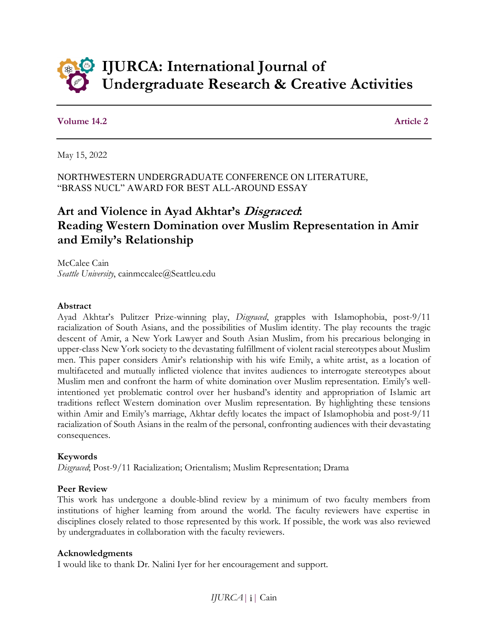

### **Volume 14.2** Article 2

May 15, 2022

NORTHWESTERN UNDERGRADUATE CONFERENCE ON LITERATURE, "BRASS NUCL" AWARD FOR BEST ALL-AROUND ESSAY

# **Art and Violence in Ayad Akhtar's Disgraced: Reading Western Domination over Muslim Representation in Amir and Emily's Relationship**

McCalee Cain *Seattle University*, cainmccalee@Seattleu.edu

#### **Abstract**

Ayad Akhtar's Pulitzer Prize-winning play, *Disgraced*, grapples with Islamophobia, post-9/11 racialization of South Asians, and the possibilities of Muslim identity. The play recounts the tragic descent of Amir, a New York Lawyer and South Asian Muslim, from his precarious belonging in upper-class New York society to the devastating fulfillment of violent racial stereotypes about Muslim men. This paper considers Amir's relationship with his wife Emily, a white artist, as a location of multifaceted and mutually inflicted violence that invites audiences to interrogate stereotypes about Muslim men and confront the harm of white domination over Muslim representation. Emily's wellintentioned yet problematic control over her husband's identity and appropriation of Islamic art traditions reflect Western domination over Muslim representation. By highlighting these tensions within Amir and Emily's marriage, Akhtar deftly locates the impact of Islamophobia and post-9/11 racialization of South Asians in the realm of the personal, confronting audiences with their devastating consequences.

### **Keywords**

*Disgraced*; Post-9/11 Racialization; Orientalism; Muslim Representation; Drama

### **Peer Review**

This work has undergone a double-blind review by a minimum of two faculty members from institutions of higher learning from around the world. The faculty reviewers have expertise in disciplines closely related to those represented by this work. If possible, the work was also reviewed by undergraduates in collaboration with the faculty reviewers.

#### **Acknowledgments**

I would like to thank Dr. Nalini Iyer for her encouragement and support.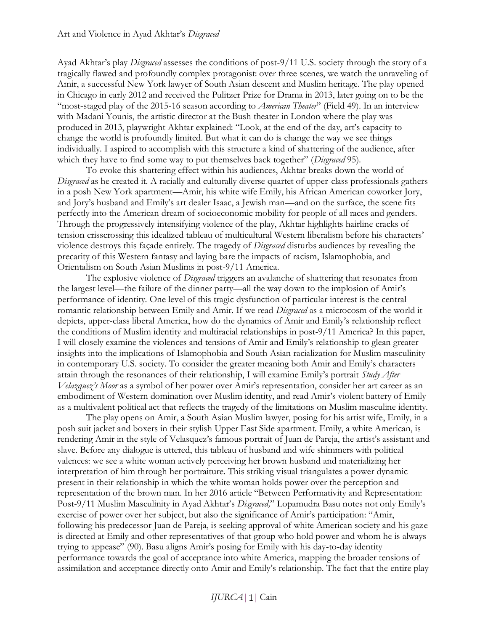Ayad Akhtar's play *Disgraced* assesses the conditions of post-9/11 U.S. society through the story of a tragically flawed and profoundly complex protagonist: over three scenes, we watch the unraveling of Amir, a successful New York lawyer of South Asian descent and Muslim heritage. The play opened in Chicago in early 2012 and received the Pulitzer Prize for Drama in 2013, later going on to be the "most-staged play of the 2015-16 season according to *American Theater*" (Field 49). In an interview with Madani Younis, the artistic director at the Bush theater in London where the play was produced in 2013, playwright Akhtar explained: "Look, at the end of the day, art's capacity to change the world is profoundly limited. But what it can do is change the way we see things individually. I aspired to accomplish with this structure a kind of shattering of the audience, after which they have to find some way to put themselves back together" (*Disgraced* 95).

To evoke this shattering effect within his audiences, Akhtar breaks down the world of *Disgraced* as he created it. A racially and culturally diverse quartet of upper-class professionals gathers in a posh New York apartment—Amir, his white wife Emily, his African American coworker Jory, and Jory's husband and Emily's art dealer Isaac, a Jewish man—and on the surface, the scene fits perfectly into the American dream of socioeconomic mobility for people of all races and genders. Through the progressively intensifying violence of the play, Akhtar highlights hairline cracks of tension crisscrossing this idealized tableau of multicultural Western liberalism before his characters' violence destroys this façade entirely. The tragedy of *Disgraced* disturbs audiences by revealing the precarity of this Western fantasy and laying bare the impacts of racism, Islamophobia, and Orientalism on South Asian Muslims in post-9/11 America.

The explosive violence of *Disgraced* triggers an avalanche of shattering that resonates from the largest level—the failure of the dinner party—all the way down to the implosion of Amir's performance of identity. One level of this tragic dysfunction of particular interest is the central romantic relationship between Emily and Amir. If we read *Disgraced* as a microcosm of the world it depicts, upper-class liberal America, how do the dynamics of Amir and Emily's relationship reflect the conditions of Muslim identity and multiracial relationships in post-9/11 America? In this paper, I will closely examine the violences and tensions of Amir and Emily's relationship to glean greater insights into the implications of Islamophobia and South Asian racialization for Muslim masculinity in contemporary U.S. society. To consider the greater meaning both Amir and Emily's characters attain through the resonances of their relationship, I will examine Emily's portrait *Study After Velazquez's Moor* as a symbol of her power over Amir's representation, consider her art career as an embodiment of Western domination over Muslim identity, and read Amir's violent battery of Emily as a multivalent political act that reflects the tragedy of the limitations on Muslim masculine identity.

The play opens on Amir, a South Asian Muslim lawyer, posing for his artist wife, Emily, in a posh suit jacket and boxers in their stylish Upper East Side apartment. Emily, a white American, is rendering Amir in the style of Velasquez's famous portrait of Juan de Pareja, the artist's assistant and slave. Before any dialogue is uttered, this tableau of husband and wife shimmers with political valences: we see a white woman actively perceiving her brown husband and materializing her interpretation of him through her portraiture. This striking visual triangulates a power dynamic present in their relationship in which the white woman holds power over the perception and representation of the brown man. In her 2016 article "Between Performativity and Representation: Post-9/11 Muslim Masculinity in Ayad Akhtar's *Disgraced,*" Lopamudra Basu notes not only Emily's exercise of power over her subject, but also the significance of Amir's participation: "Amir, following his predecessor Juan de Pareja, is seeking approval of white American society and his gaze is directed at Emily and other representatives of that group who hold power and whom he is always trying to appease" (90). Basu aligns Amir's posing for Emily with his day-to-day identity performance towards the goal of acceptance into white America, mapping the broader tensions of assimilation and acceptance directly onto Amir and Emily's relationship. The fact that the entire play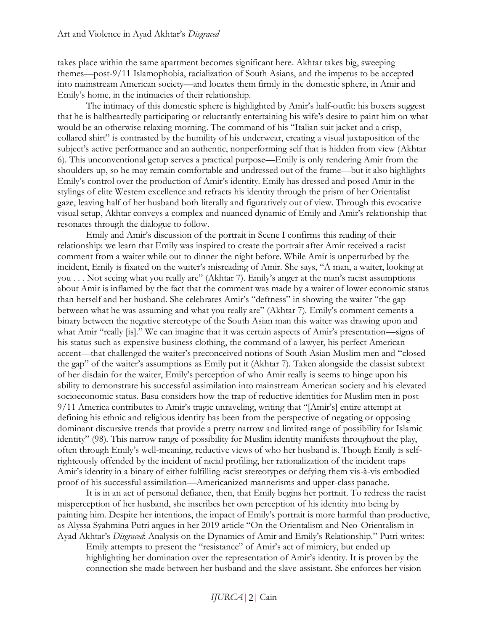takes place within the same apartment becomes significant here. Akhtar takes big, sweeping themes—post-9/11 Islamophobia, racialization of South Asians, and the impetus to be accepted into mainstream American society—and locates them firmly in the domestic sphere, in Amir and Emily's home, in the intimacies of their relationship.

The intimacy of this domestic sphere is highlighted by Amir's half-outfit: his boxers suggest that he is halfheartedly participating or reluctantly entertaining his wife's desire to paint him on what would be an otherwise relaxing morning. The command of his "Italian suit jacket and a crisp, collared shirt" is contrasted by the humility of his underwear, creating a visual juxtaposition of the subject's active performance and an authentic, nonperforming self that is hidden from view (Akhtar 6). This unconventional getup serves a practical purpose—Emily is only rendering Amir from the shoulders-up, so he may remain comfortable and undressed out of the frame—but it also highlights Emily's control over the production of Amir's identity. Emily has dressed and posed Amir in the stylings of elite Western excellence and refracts his identity through the prism of her Orientalist gaze, leaving half of her husband both literally and figuratively out of view. Through this evocative visual setup, Akhtar conveys a complex and nuanced dynamic of Emily and Amir's relationship that resonates through the dialogue to follow.

Emily and Amir's discussion of the portrait in Scene I confirms this reading of their relationship: we learn that Emily was inspired to create the portrait after Amir received a racist comment from a waiter while out to dinner the night before. While Amir is unperturbed by the incident, Emily is fixated on the waiter's misreading of Amir. She says, "A man, a waiter, looking at you . . . Not seeing what you really are" (Akhtar 7). Emily's anger at the man's racist assumptions about Amir is inflamed by the fact that the comment was made by a waiter of lower economic status than herself and her husband. She celebrates Amir's "deftness" in showing the waiter "the gap between what he was assuming and what you really are" (Akhtar 7). Emily's comment cements a binary between the negative stereotype of the South Asian man this waiter was drawing upon and what Amir "really [is]." We can imagine that it was certain aspects of Amir's presentation—signs of his status such as expensive business clothing, the command of a lawyer, his perfect American accent—that challenged the waiter's preconceived notions of South Asian Muslim men and "closed the gap" of the waiter's assumptions as Emily put it (Akhtar 7). Taken alongside the classist subtext of her disdain for the waiter, Emily's perception of who Amir really is seems to hinge upon his ability to demonstrate his successful assimilation into mainstream American society and his elevated socioeconomic status. Basu considers how the trap of reductive identities for Muslim men in post-9/11 America contributes to Amir's tragic unraveling, writing that "[Amir's] entire attempt at defining his ethnic and religious identity has been from the perspective of negating or opposing dominant discursive trends that provide a pretty narrow and limited range of possibility for Islamic identity" (98). This narrow range of possibility for Muslim identity manifests throughout the play, often through Emily's well-meaning, reductive views of who her husband is. Though Emily is selfrighteously offended by the incident of racial profiling, her rationalization of the incident traps Amir's identity in a binary of either fulfilling racist stereotypes or defying them vis-à-vis embodied proof of his successful assimilation—Americanized mannerisms and upper-class panache.

It is in an act of personal defiance, then, that Emily begins her portrait. To redress the racist misperception of her husband, she inscribes her own perception of his identity into being by painting him. Despite her intentions, the impact of Emily's portrait is more harmful than productive, as Alyssa Syahmina Putri argues in her 2019 article "On the Orientalism and Neo-Orientalism in Ayad Akhtar's *Disgraced*: Analysis on the Dynamics of Amir and Emily's Relationship." Putri writes:

Emily attempts to present the "resistance" of Amir's act of mimicry, but ended up highlighting her domination over the representation of Amir's identity. It is proven by the connection she made between her husband and the slave-assistant. She enforces her vision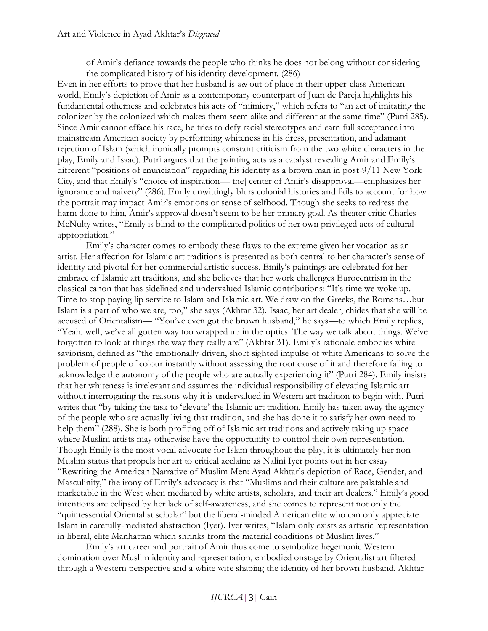of Amir's defiance towards the people who thinks he does not belong without considering the complicated history of his identity development. (286)

Even in her efforts to prove that her husband is *not* out of place in their upper-class American world, Emily's depiction of Amir as a contemporary counterpart of Juan de Pareja highlights his fundamental otherness and celebrates his acts of "mimicry," which refers to "an act of imitating the colonizer by the colonized which makes them seem alike and different at the same time" (Putri 285). Since Amir cannot efface his race, he tries to defy racial stereotypes and earn full acceptance into mainstream American society by performing whiteness in his dress, presentation, and adamant rejection of Islam (which ironically prompts constant criticism from the two white characters in the play, Emily and Isaac). Putri argues that the painting acts as a catalyst revealing Amir and Emily's different "positions of enunciation" regarding his identity as a brown man in post-9/11 New York City, and that Emily's "choice of inspiration—[the] center of Amir's disapproval—emphasizes her ignorance and naivety" (286). Emily unwittingly blurs colonial histories and fails to account for how the portrait may impact Amir's emotions or sense of selfhood. Though she seeks to redress the harm done to him, Amir's approval doesn't seem to be her primary goal. As theater critic Charles McNulty writes, "Emily is blind to the complicated politics of her own privileged acts of cultural appropriation."

Emily's character comes to embody these flaws to the extreme given her vocation as an artist. Her affection for Islamic art traditions is presented as both central to her character's sense of identity and pivotal for her commercial artistic success. Emily's paintings are celebrated for her embrace of Islamic art traditions, and she believes that her work challenges Eurocentrism in the classical canon that has sidelined and undervalued Islamic contributions: "It's time we woke up. Time to stop paying lip service to Islam and Islamic art. We draw on the Greeks, the Romans…but Islam is a part of who we are, too," she says (Akhtar 32). Isaac, her art dealer, chides that she will be accused of Orientalism— "You've even got the brown husband," he says—to which Emily replies, "Yeah, well, we've all gotten way too wrapped up in the optics. The way we talk about things. We've forgotten to look at things the way they really are" (Akhtar 31). Emily's rationale embodies white saviorism, defined as "the emotionally-driven, short-sighted impulse of white Americans to solve the problem of people of colour instantly without assessing the root cause of it and therefore failing to acknowledge the autonomy of the people who are actually experiencing it" (Putri 284). Emily insists that her whiteness is irrelevant and assumes the individual responsibility of elevating Islamic art without interrogating the reasons why it is undervalued in Western art tradition to begin with. Putri writes that "by taking the task to 'elevate' the Islamic art tradition, Emily has taken away the agency of the people who are actually living that tradition, and she has done it to satisfy her own need to help them" (288). She is both profiting off of Islamic art traditions and actively taking up space where Muslim artists may otherwise have the opportunity to control their own representation. Though Emily is the most vocal advocate for Islam throughout the play, it is ultimately her non-Muslim status that propels her art to critical acclaim: as Nalini Iyer points out in her essay "Rewriting the American Narrative of Muslim Men: Ayad Akhtar's depiction of Race, Gender, and Masculinity," the irony of Emily's advocacy is that "Muslims and their culture are palatable and marketable in the West when mediated by white artists, scholars, and their art dealers." Emily's good intentions are eclipsed by her lack of self-awareness, and she comes to represent not only the "quintessential Orientalist scholar" but the liberal-minded American elite who can only appreciate Islam in carefully-mediated abstraction (Iyer). Iyer writes, "Islam only exists as artistic representation in liberal, elite Manhattan which shrinks from the material conditions of Muslim lives."

Emily's art career and portrait of Amir thus come to symbolize hegemonic Western domination over Muslim identity and representation, embodied onstage by Orientalist art filtered through a Western perspective and a white wife shaping the identity of her brown husband. Akhtar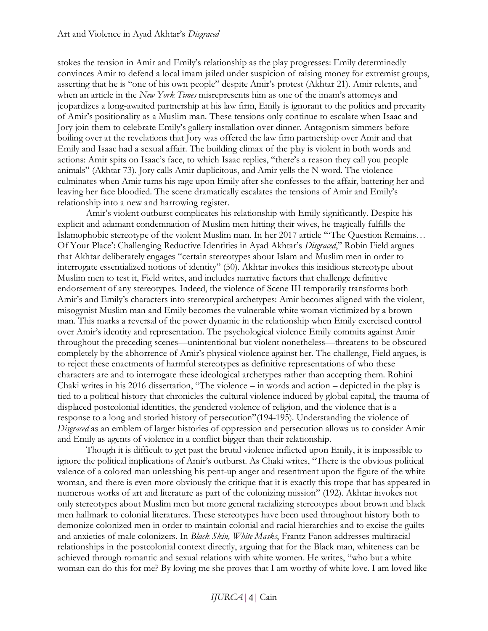stokes the tension in Amir and Emily's relationship as the play progresses: Emily determinedly convinces Amir to defend a local imam jailed under suspicion of raising money for extremist groups, asserting that he is "one of his own people" despite Amir's protest (Akhtar 21). Amir relents, and when an article in the *New York Times* misrepresents him as one of the imam's attorneys and jeopardizes a long-awaited partnership at his law firm, Emily is ignorant to the politics and precarity of Amir's positionality as a Muslim man. These tensions only continue to escalate when Isaac and Jory join them to celebrate Emily's gallery installation over dinner. Antagonism simmers before boiling over at the revelations that Jory was offered the law firm partnership over Amir and that Emily and Isaac had a sexual affair. The building climax of the play is violent in both words and actions: Amir spits on Isaac's face, to which Isaac replies, "there's a reason they call you people animals" (Akhtar 73). Jory calls Amir duplicitous, and Amir yells the N word. The violence culminates when Amir turns his rage upon Emily after she confesses to the affair, battering her and leaving her face bloodied. The scene dramatically escalates the tensions of Amir and Emily's relationship into a new and harrowing register.

Amir's violent outburst complicates his relationship with Emily significantly. Despite his explicit and adamant condemnation of Muslim men hitting their wives, he tragically fulfills the Islamophobic stereotype of the violent Muslim man. In her 2017 article "'The Question Remains… Of Your Place': Challenging Reductive Identities in Ayad Akhtar's *Disgraced*," Robin Field argues that Akhtar deliberately engages "certain stereotypes about Islam and Muslim men in order to interrogate essentialized notions of identity" (50). Akhtar invokes this insidious stereotype about Muslim men to test it, Field writes, and includes narrative factors that challenge definitive endorsement of any stereotypes. Indeed, the violence of Scene III temporarily transforms both Amir's and Emily's characters into stereotypical archetypes: Amir becomes aligned with the violent, misogynist Muslim man and Emily becomes the vulnerable white woman victimized by a brown man. This marks a reversal of the power dynamic in the relationship when Emily exercised control over Amir's identity and representation. The psychological violence Emily commits against Amir throughout the preceding scenes—unintentional but violent nonetheless—threatens to be obscured completely by the abhorrence of Amir's physical violence against her. The challenge, Field argues, is to reject these enactments of harmful stereotypes as definitive representations of who these characters are and to interrogate these ideological archetypes rather than accepting them. Rohini Chaki writes in his 2016 dissertation, "The violence – in words and action – depicted in the play is tied to a political history that chronicles the cultural violence induced by global capital, the trauma of displaced postcolonial identities, the gendered violence of religion, and the violence that is a response to a long and storied history of persecution"(194-195). Understanding the violence of *Disgraced* as an emblem of larger histories of oppression and persecution allows us to consider Amir and Emily as agents of violence in a conflict bigger than their relationship.

Though it is difficult to get past the brutal violence inflicted upon Emily, it is impossible to ignore the political implications of Amir's outburst. As Chaki writes, "There is the obvious political valence of a colored man unleashing his pent-up anger and resentment upon the figure of the white woman, and there is even more obviously the critique that it is exactly this trope that has appeared in numerous works of art and literature as part of the colonizing mission" (192). Akhtar invokes not only stereotypes about Muslim men but more general racializing stereotypes about brown and black men hallmark to colonial literatures. These stereotypes have been used throughout history both to demonize colonized men in order to maintain colonial and racial hierarchies and to excise the guilts and anxieties of male colonizers. In *Black Skin, White Masks*, Frantz Fanon addresses multiracial relationships in the postcolonial context directly, arguing that for the Black man, whiteness can be achieved through romantic and sexual relations with white women. He writes, "who but a white woman can do this for me? By loving me she proves that I am worthy of white love. I am loved like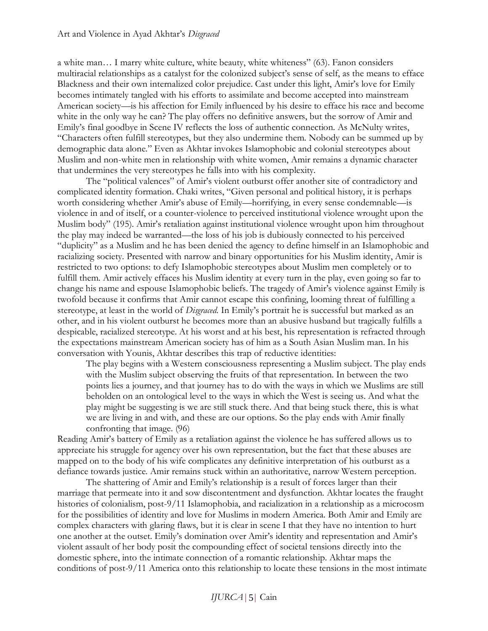a white man… I marry white culture, white beauty, white whiteness" (63). Fanon considers multiracial relationships as a catalyst for the colonized subject's sense of self, as the means to efface Blackness and their own internalized color prejudice. Cast under this light, Amir's love for Emily becomes intimately tangled with his efforts to assimilate and become accepted into mainstream American society—is his affection for Emily influenced by his desire to efface his race and become white in the only way he can? The play offers no definitive answers, but the sorrow of Amir and Emily's final goodbye in Scene IV reflects the loss of authentic connection. As McNulty writes, "Characters often fulfill stereotypes, but they also undermine them. Nobody can be summed up by demographic data alone." Even as Akhtar invokes Islamophobic and colonial stereotypes about Muslim and non-white men in relationship with white women, Amir remains a dynamic character that undermines the very stereotypes he falls into with his complexity.

The "political valences" of Amir's violent outburst offer another site of contradictory and complicated identity formation. Chaki writes, "Given personal and political history, it is perhaps worth considering whether Amir's abuse of Emily—horrifying, in every sense condemnable—is violence in and of itself, or a counter-violence to perceived institutional violence wrought upon the Muslim body" (195). Amir's retaliation against institutional violence wrought upon him throughout the play may indeed be warranted—the loss of his job is dubiously connected to his perceived "duplicity" as a Muslim and he has been denied the agency to define himself in an Islamophobic and racializing society. Presented with narrow and binary opportunities for his Muslim identity, Amir is restricted to two options: to defy Islamophobic stereotypes about Muslim men completely or to fulfill them. Amir actively effaces his Muslim identity at every turn in the play, even going so far to change his name and espouse Islamophobic beliefs. The tragedy of Amir's violence against Emily is twofold because it confirms that Amir cannot escape this confining, looming threat of fulfilling a stereotype, at least in the world of *Disgraced*. In Emily's portrait he is successful but marked as an other, and in his violent outburst he becomes more than an abusive husband but tragically fulfills a despicable, racialized stereotype. At his worst and at his best, his representation is refracted through the expectations mainstream American society has of him as a South Asian Muslim man. In his conversation with Younis, Akhtar describes this trap of reductive identities:

The play begins with a Western consciousness representing a Muslim subject. The play ends with the Muslim subject observing the fruits of that representation. In between the two points lies a journey, and that journey has to do with the ways in which we Muslims are still beholden on an ontological level to the ways in which the West is seeing us. And what the play might be suggesting is we are still stuck there. And that being stuck there, this is what we are living in and with, and these are our options. So the play ends with Amir finally confronting that image. (96)

Reading Amir's battery of Emily as a retaliation against the violence he has suffered allows us to appreciate his struggle for agency over his own representation, but the fact that these abuses are mapped on to the body of his wife complicates any definitive interpretation of his outburst as a defiance towards justice. Amir remains stuck within an authoritative, narrow Western perception.

The shattering of Amir and Emily's relationship is a result of forces larger than their marriage that permeate into it and sow discontentment and dysfunction. Akhtar locates the fraught histories of colonialism, post-9/11 Islamophobia, and racialization in a relationship as a microcosm for the possibilities of identity and love for Muslims in modern America. Both Amir and Emily are complex characters with glaring flaws, but it is clear in scene I that they have no intention to hurt one another at the outset. Emily's domination over Amir's identity and representation and Amir's violent assault of her body posit the compounding effect of societal tensions directly into the domestic sphere, into the intimate connection of a romantic relationship. Akhtar maps the conditions of post-9/11 America onto this relationship to locate these tensions in the most intimate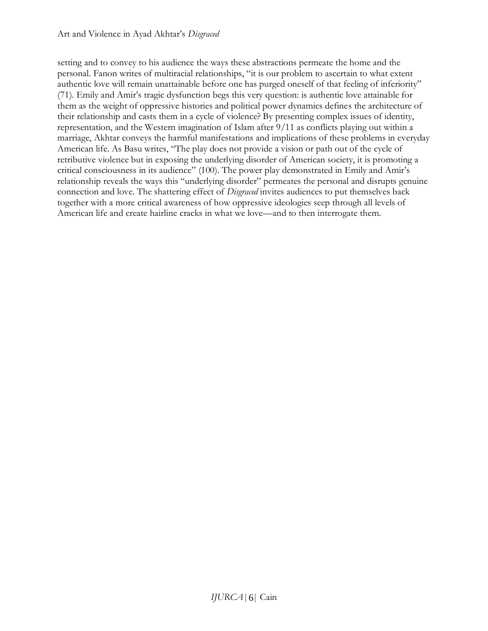setting and to convey to his audience the ways these abstractions permeate the home and the personal. Fanon writes of multiracial relationships, "it is our problem to ascertain to what extent authentic love will remain unattainable before one has purged oneself of that feeling of inferiority" (71). Emily and Amir's tragic dysfunction begs this very question: is authentic love attainable for them as the weight of oppressive histories and political power dynamics defines the architecture of their relationship and casts them in a cycle of violence? By presenting complex issues of identity, representation, and the Western imagination of Islam after 9/11 as conflicts playing out within a marriage, Akhtar conveys the harmful manifestations and implications of these problems in everyday American life. As Basu writes, "The play does not provide a vision or path out of the cycle of retributive violence but in exposing the underlying disorder of American society, it is promoting a critical consciousness in its audience" (100). The power play demonstrated in Emily and Amir's relationship reveals the ways this "underlying disorder" permeates the personal and disrupts genuine connection and love. The shattering effect of *Disgraced* invites audiences to put themselves back together with a more critical awareness of how oppressive ideologies seep through all levels of American life and create hairline cracks in what we love—and to then interrogate them.